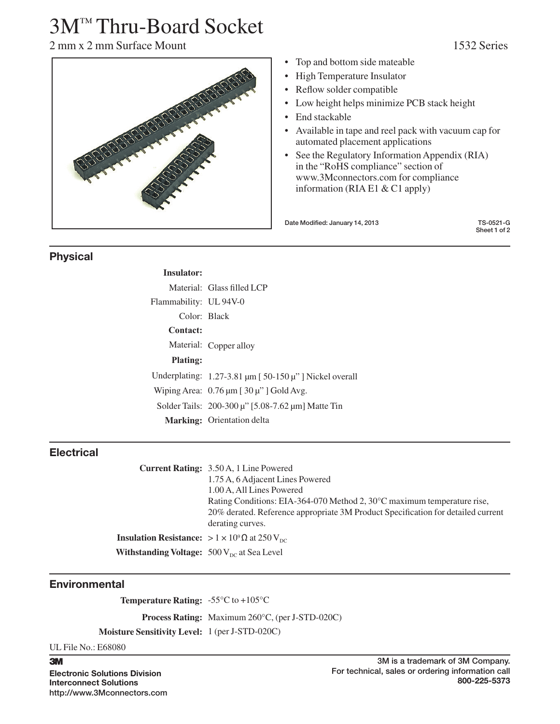# 3M™ Thru-Board Socket

2 mm x 2 mm Surface Mount 1532 Series



- Top and bottom side mateable
- High Temperature Insulator
- Reflow solder compatible
- Low height helps minimize PCB stack height
- End stackable
- Available in tape and reel pack with vacuum cap for automated placement applications
- See the Regulatory Information Appendix (RIA) in the "RoHS compliance" section of www.3Mconnectors.com for compliance information (RIA E1 & C1 apply)

Date Modified: January 14, 2013 TS-0521-G

Sheet 1 of 2

### Physical

| Insulator:             |                                                                              |  |
|------------------------|------------------------------------------------------------------------------|--|
|                        | Material: Glass filled LCP                                                   |  |
| Flammability: UL 94V-0 |                                                                              |  |
| Color: Black           |                                                                              |  |
| Contact:               |                                                                              |  |
|                        | Material: Copper alloy                                                       |  |
| <b>Plating:</b>        |                                                                              |  |
|                        | Underplating: $1.27 - 3.81 \mu m$ [50-150 $\mu$ "] Nickel overall            |  |
|                        | Wiping Area: $0.76 \,\mathrm{\upmu m}$ [ $30 \,\mathrm{\upmu}$ " ] Gold Avg. |  |
|                        | Solder Tails: 200-300 μ" [5.08-7.62 μm] Matte Tin                            |  |
|                        | <b>Marking:</b> Orientation delta                                            |  |

## **Electrical**

**Current Rating:** 3.50 A, 1 Line Powered 1.75 A, 6 Adjacent Lines Powered 1.00 A, All Lines Powered Rating Conditions: EIA-364-070 Method 2, 30°C maximum temperature rise, 20% derated. Reference appropriate 3M Product Specification for detailed current derating curves. **Insulation Resistance:**  $> 1 \times 10^9 \Omega$  at 250 V<sub>DC</sub> **Withstanding Voltage:** 500 V<sub>DC</sub> at Sea Level

## **Environmental**

**Temperature Rating:** -55°C to +105°C

**Process Rating:** Maximum 260°C, (per J-STD-020C)

**Moisture Sensitivity Level:** 1 (per J-STD-020C)

UL File No.: E68080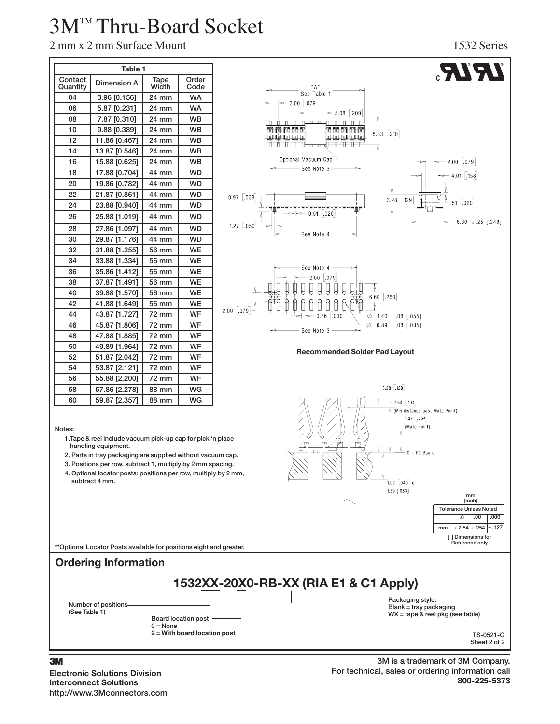# 3M™ Thru-Board Socket

| Table 1             |               |               |               |
|---------------------|---------------|---------------|---------------|
| Contact<br>Quantity | Dimension A   | Tape<br>Width | Order<br>Code |
| 04                  | 3.96 [0.156]  | 24 mm         | <b>WA</b>     |
| 06                  | 5.87 [0.231]  | 24 mm         | <b>WA</b>     |
| 08                  | 7.87 [0.310]  | 24 mm         | <b>WB</b>     |
| 10                  | 9.88 [0.389]  | 24 mm         | <b>WB</b>     |
| 12                  | 11.86 [0.467] | 24 mm         | <b>WB</b>     |
| 14                  | 13.87 [0.546] | 24 mm         | <b>WB</b>     |
| 16                  | 15.88 [0.625] | 24 mm         | <b>WB</b>     |
| 18                  | 17.88 [0.704] | 44 mm         | <b>WD</b>     |
| 20                  | 19.86 [0.782] | 44 mm         | <b>WD</b>     |
| 22                  | 21.87 [0.861] | 44 mm         | <b>WD</b>     |
| 24                  | 23.88 [0.940] | 44 mm         | <b>WD</b>     |
| 26                  | 25.88 [1.019] | 44 mm         | <b>WD</b>     |
| 28                  | 27.86 [1.097] | 44 mm         | <b>WD</b>     |
| 30                  | 29.87 [1.176] | 44 mm         | <b>WD</b>     |
| 32                  | 31.88 [1.255] | 56 mm         | <b>WE</b>     |
| 34                  | 33.88 [1.334] | 56 mm         | <b>WE</b>     |
| 36                  | 35.86 [1.412] | 56 mm         | <b>WE</b>     |
| 38                  | 37.87 [1.491] | 56 mm         | <b>WE</b>     |
| 40                  | 39.88 [1.570] | 56 mm         | <b>WE</b>     |
| 42                  | 41.88 [1.649] | 56 mm         | <b>WE</b>     |
| 44                  | 43.87 [1.727] | 72 mm         | <b>WF</b>     |
| 46                  | 45.87 [1.806] | 72 mm         | WF            |
| 48                  | 47.88 [1.885] | 72 mm         | WF            |
| 50                  | 49.89 [1.964] | 72 mm         | <b>WF</b>     |
| 52                  | 51.87 [2.042] | 72 mm         | WF            |
| 54                  | 53.87 [2.121] | 72 mm         | WF            |
| 56                  | 55.88 [2.200] | 72 mm         | WF            |
| 58                  | 57.86 [2.278] | 88 mm         | WG            |
| 60                  | 59.87 [2.357] | 88 mm         | <b>WG</b>     |



#### Notes:

- 1.Tape & reel include vacuum pick-up cap for pick 'n place handling equipment.
- 2. Parts in tray packaging are supplied without vacuum cap.
- 3. Positions per row, subtract 1, multiply by 2 mm spacing.
- 4. Optional locator posts: positions per row, multiply by 2 mm, subtract 4 mm.



## Ordering Information



#### 3

Electronic Solutions Division Interconnect Solutions http://www.3Mconnectors.com

#### 3M is a trademark of 3M Company. For technical, sales or ordering information call 800-225-5373